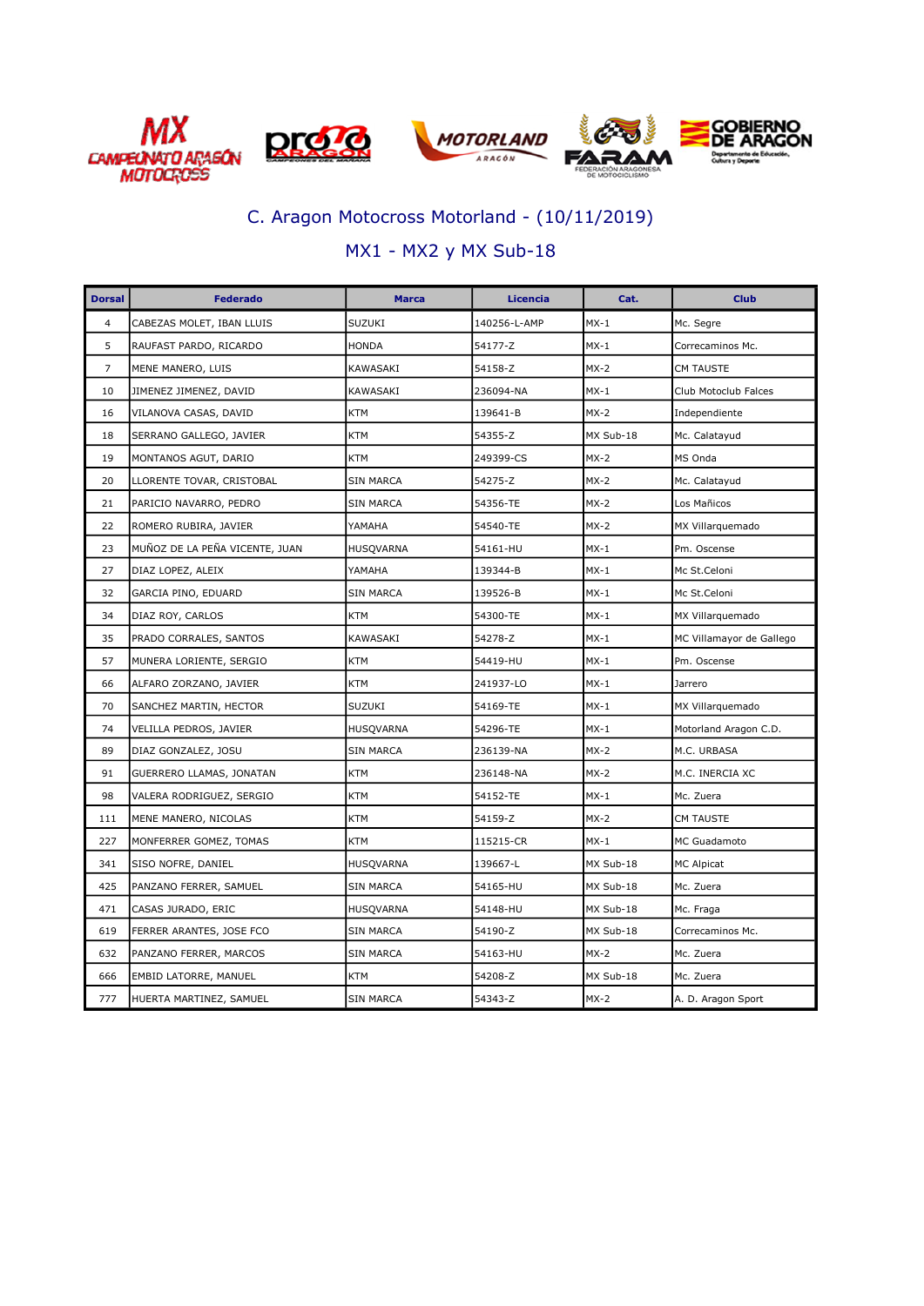







### MX1 - MX2 y MX Sub-18

| <b>Dorsal</b>  | <b>Federado</b>                | <b>Marca</b>     | Licencia     | Cat.      | <b>Club</b>              |
|----------------|--------------------------------|------------------|--------------|-----------|--------------------------|
| $\overline{4}$ | CABEZAS MOLET, IBAN LLUIS      | <b>SUZUKI</b>    | 140256-L-AMP | $MX-1$    | Mc. Segre                |
| 5              | RAUFAST PARDO, RICARDO         | <b>HONDA</b>     | 54177-Z      | $MX-1$    | Correcaminos Mc.         |
| $\overline{7}$ | MENE MANERO, LUIS              | KAWASAKI         | 54158-Z      | $MX-2$    | <b>CM TAUSTE</b>         |
| 10             | JIMENEZ JIMENEZ, DAVID         | KAWASAKI         | 236094-NA    | $MX-1$    | Club Motoclub Falces     |
| 16             | VILANOVA CASAS, DAVID          | <b>KTM</b>       | 139641-B     | $MX-2$    | Independiente            |
| 18             | SERRANO GALLEGO, JAVIER        | <b>KTM</b>       | 54355-Z      | MX Sub-18 | Mc. Calatayud            |
| 19             | MONTANOS AGUT, DARIO           | <b>KTM</b>       | 249399-CS    | $MX-2$    | MS Onda                  |
| 20             | LLORENTE TOVAR, CRISTOBAL      | <b>SIN MARCA</b> | 54275-Z      | $MX-2$    | Mc. Calatayud            |
| 21             | PARICIO NAVARRO, PEDRO         | <b>SIN MARCA</b> | 54356-TE     | $MX-2$    | Los Mañicos              |
| 22             | ROMERO RUBIRA, JAVIER          | YAMAHA           | 54540-TE     | $MX-2$    | MX Villarquemado         |
| 23             | MUÑOZ DE LA PEÑA VICENTE, JUAN | HUSQVARNA        | 54161-HU     | $MX-1$    | Pm. Oscense              |
| 27             | DIAZ LOPEZ, ALEIX              | YAMAHA           | 139344-B     | $MX-1$    | Mc St.Celoni             |
| 32             | GARCIA PINO, EDUARD            | <b>SIN MARCA</b> | 139526-B     | $MX-1$    | Mc St.Celoni             |
| 34             | DIAZ ROY, CARLOS               | <b>KTM</b>       | 54300-TE     | $MX-1$    | MX Villarquemado         |
| 35             | PRADO CORRALES, SANTOS         | KAWASAKI         | 54278-Z      | $MX-1$    | MC Villamayor de Gallego |
| 57             | MUNERA LORIENTE, SERGIO        | <b>KTM</b>       | 54419-HU     | $MX-1$    | Pm. Oscense              |
| 66             | ALFARO ZORZANO, JAVIER         | <b>KTM</b>       | 241937-LO    | $MX-1$    | Jarrero                  |
| 70             | SANCHEZ MARTIN, HECTOR         | SUZUKI           | 54169-TE     | $MX-1$    | MX Villarquemado         |
| 74             | VELILLA PEDROS, JAVIER         | <b>HUSQVARNA</b> | 54296-TE     | $MX-1$    | Motorland Aragon C.D.    |
| 89             | DIAZ GONZALEZ, JOSU            | <b>SIN MARCA</b> | 236139-NA    | $MX-2$    | M.C. URBASA              |
| 91             | GUERRERO LLAMAS, JONATAN       | <b>KTM</b>       | 236148-NA    | $MX-2$    | M.C. INERCIA XC          |
| 98             | VALERA RODRIGUEZ, SERGIO       | <b>KTM</b>       | 54152-TE     | $MX-1$    | Mc. Zuera                |
| 111            | MENE MANERO, NICOLAS           | <b>KTM</b>       | 54159-Z      | $MX-2$    | <b>CM TAUSTE</b>         |
| 227            | MONFERRER GOMEZ, TOMAS         | <b>KTM</b>       | 115215-CR    | $MX-1$    | <b>MC Guadamoto</b>      |
| 341            | SISO NOFRE, DANIEL             | HUSQVARNA        | 139667-L     | MX Sub-18 | <b>MC Alpicat</b>        |
| 425            | PANZANO FERRER, SAMUEL         | <b>SIN MARCA</b> | 54165-HU     | MX Sub-18 | Mc. Zuera                |
| 471            | CASAS JURADO, ERIC             | HUSQVARNA        | 54148-HU     | MX Sub-18 | Mc. Fraga                |
| 619            | FERRER ARANTES, JOSE FCO       | <b>SIN MARCA</b> | 54190-Z      | MX Sub-18 | Correcaminos Mc.         |
| 632            | PANZANO FERRER, MARCOS         | <b>SIN MARCA</b> | 54163-HU     | $MX-2$    | Mc. Zuera                |
| 666            | EMBID LATORRE, MANUEL          | <b>KTM</b>       | 54208-Z      | MX Sub-18 | Mc. Zuera                |
| 777            | HUERTA MARTINEZ, SAMUEL        | <b>SIN MARCA</b> | 54343-Z      | $MX-2$    | A. D. Aragon Sport       |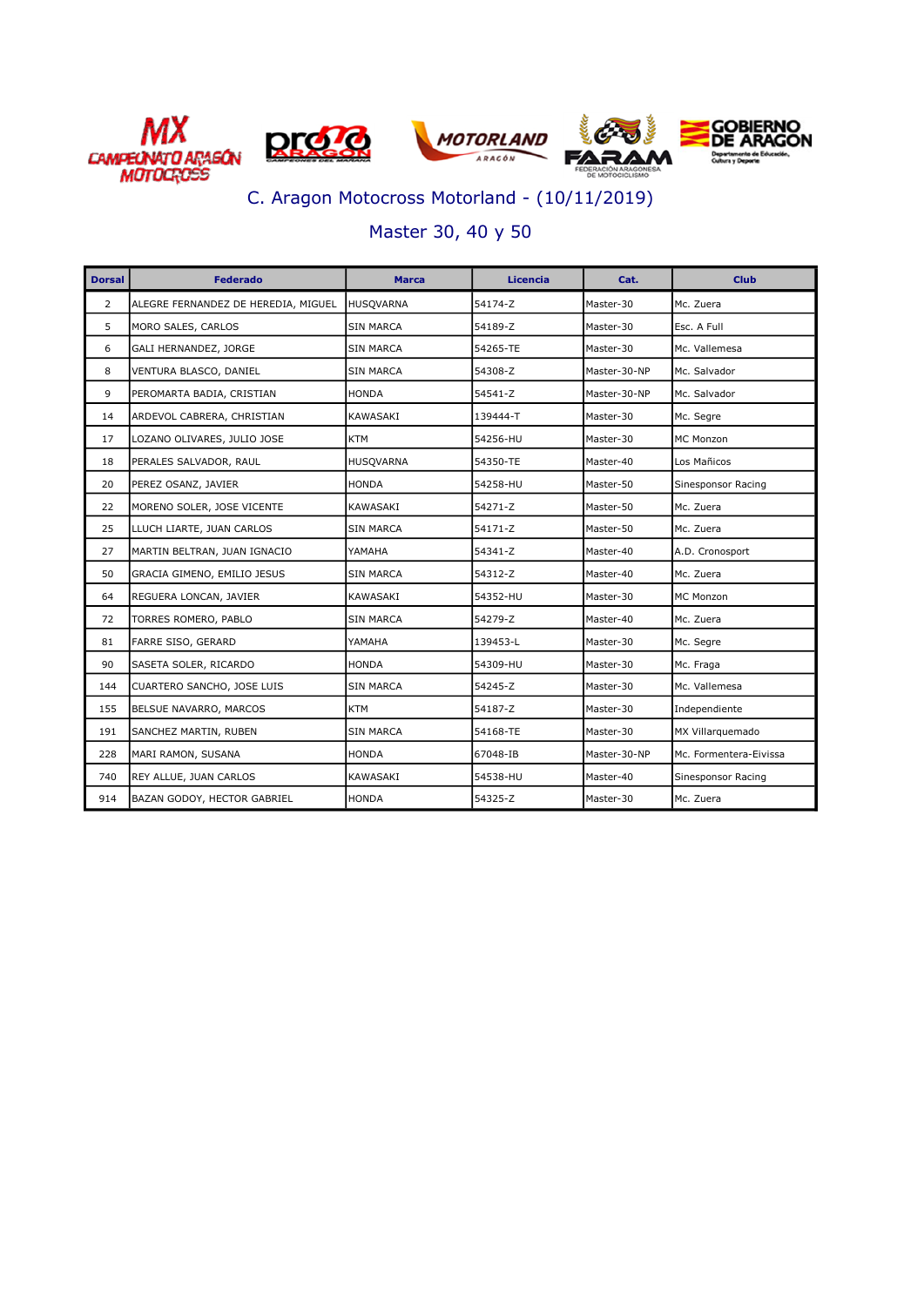







### Master 30, 40 y 50

| <b>Dorsal</b>  | <b>Federado</b>                     | <b>Marca</b>     | Licencia | Cat.         | <b>Club</b>            |
|----------------|-------------------------------------|------------------|----------|--------------|------------------------|
| $\overline{2}$ | ALEGRE FERNANDEZ DE HEREDIA, MIGUEL | <b>HUSOVARNA</b> | 54174-Z  | Master-30    | Mc. Zuera              |
| 5              | MORO SALES, CARLOS                  | <b>SIN MARCA</b> | 54189-Z  | Master-30    | Esc. A Full            |
| 6              | GALI HERNANDEZ, JORGE               | SIN MARCA        | 54265-TE | Master-30    | Mc. Vallemesa          |
| 8              | VENTURA BLASCO, DANIEL              | SIN MARCA        | 54308-Z  | Master-30-NP | Mc. Salvador           |
| 9              | PEROMARTA BADIA, CRISTIAN           | <b>HONDA</b>     | 54541-Z  | Master-30-NP | Mc. Salvador           |
| 14             | ARDEVOL CABRERA, CHRISTIAN          | KAWASAKI         | 139444-T | Master-30    | Mc. Segre              |
| 17             | LOZANO OLIVARES, JULIO JOSE         | <b>KTM</b>       | 54256-HU | Master-30    | <b>MC Monzon</b>       |
| 18             | PERALES SALVADOR, RAUL              | <b>HUSQVARNA</b> | 54350-TE | Master-40    | Los Mañicos            |
| 20             | PEREZ OSANZ, JAVIER                 | <b>HONDA</b>     | 54258-HU | Master-50    | Sinesponsor Racing     |
| 22             | MORENO SOLER, JOSE VICENTE          | KAWASAKI         | 54271-Z  | Master-50    | Mc. Zuera              |
| 25             | LLUCH LIARTE, JUAN CARLOS           | SIN MARCA        | 54171-Z  | Master-50    | Mc. Zuera              |
| 27             | MARTIN BELTRAN, JUAN IGNACIO        | YAMAHA           | 54341-Z  | Master-40    | A.D. Cronosport        |
| 50             | GRACIA GIMENO, EMILIO JESUS         | <b>SIN MARCA</b> | 54312-Z  | Master-40    | Mc. Zuera              |
| 64             | REGUERA LONCAN, JAVIER              | KAWASAKI         | 54352-HU | Master-30    | <b>MC Monzon</b>       |
| 72             | TORRES ROMERO, PABLO                | SIN MARCA        | 54279-Z  | Master-40    | Mc. Zuera              |
| 81             | FARRE SISO, GERARD                  | YAMAHA           | 139453-L | Master-30    | Mc. Segre              |
| 90             | SASETA SOLER, RICARDO               | <b>HONDA</b>     | 54309-HU | Master-30    | Mc. Fraga              |
| 144            | CUARTERO SANCHO, JOSE LUIS          | <b>SIN MARCA</b> | 54245-Z  | Master-30    | Mc. Vallemesa          |
| 155            | BELSUE NAVARRO, MARCOS              | <b>KTM</b>       | 54187-Z  | Master-30    | Independiente          |
| 191            | SANCHEZ MARTIN, RUBEN               | <b>SIN MARCA</b> | 54168-TE | Master-30    | MX Villarquemado       |
| 228            | MARI RAMON, SUSANA                  | HONDA            | 67048-IB | Master-30-NP | Mc. Formentera-Eivissa |
| 740            | REY ALLUE, JUAN CARLOS              | KAWASAKI         | 54538-HU | Master-40    | Sinesponsor Racing     |
| 914            | BAZAN GODOY, HECTOR GABRIEL         | <b>HONDA</b>     | 54325-Z  | Master-30    | Mc. Zuera              |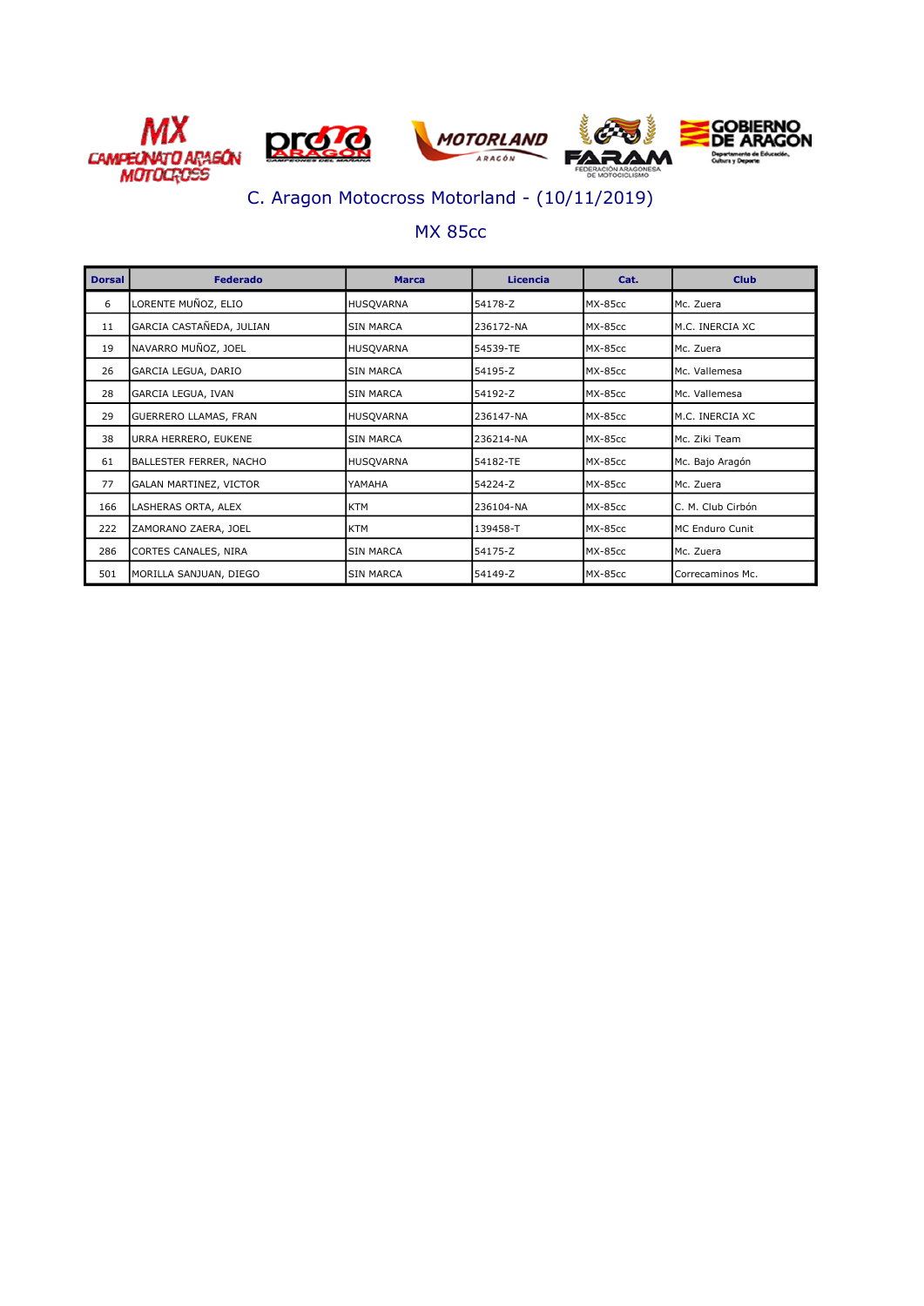

#### MX 85cc

| <b>Dorsal</b> | <b>Federado</b>              | <b>Marca</b>     | Licencia  | Cat.           | <b>Club</b>       |
|---------------|------------------------------|------------------|-----------|----------------|-------------------|
| 6             | LORENTE MUÑOZ, ELIO          | <b>HUSQVARNA</b> | 54178-Z   | MX-85cc        | Mc. Zuera         |
| 11            | GARCIA CASTAÑEDA, JULIAN     | <b>SIN MARCA</b> | 236172-NA | MX-85cc        | M.C. INERCIA XC   |
| 19            | NAVARRO MUÑOZ, JOEL          | <b>HUSQVARNA</b> | 54539-TE  | MX-85cc        | Mc. Zuera         |
| 26            | GARCIA LEGUA, DARIO          | <b>SIN MARCA</b> | 54195-Z   | MX-85cc        | Mc. Vallemesa     |
| 28            | GARCIA LEGUA, IVAN           | <b>SIN MARCA</b> | 54192-Z   | <b>MX-85cc</b> | Mc. Vallemesa     |
| 29            | <b>GUERRERO LLAMAS, FRAN</b> | <b>HUSQVARNA</b> | 236147-NA | MX-85cc        | M.C. INERCIA XC   |
| 38            | URRA HERRERO, EUKENE         | <b>SIN MARCA</b> | 236214-NA | MX-85cc        | Mc. Ziki Team     |
| 61            | BALLESTER FERRER, NACHO      | <b>HUSOVARNA</b> | 54182-TE  | MX-85cc        | Mc. Bajo Aragón   |
| 77            | GALAN MARTINEZ, VICTOR       | YAMAHA           | 54224-Z   | MX-85cc        | Mc. Zuera         |
| 166           | LASHERAS ORTA, ALEX          | <b>KTM</b>       | 236104-NA | MX-85cc        | C. M. Club Cirbón |
| 222           | ZAMORANO ZAERA, JOEL         | <b>KTM</b>       | 139458-T  | MX-85cc        | MC Enduro Cunit   |
| 286           | CORTES CANALES, NIRA         | <b>SIN MARCA</b> | 54175-Z   | MX-85cc        | Mc. Zuera         |
| 501           | MORILLA SANJUAN, DIEGO       | <b>SIN MARCA</b> | 54149-Z   | MX-85cc        | Correcaminos Mc.  |